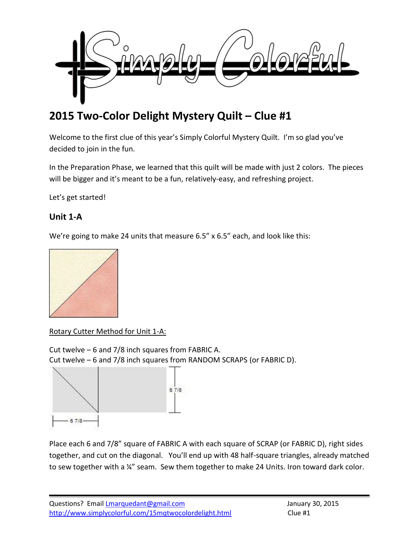

# **2015 Two-Color Delight Mystery Quilt – Clue #1**

Welcome to the first clue of this year's Simply Colorful Mystery Quilt. I'm so glad you've decided to join in the fun.

In the Preparation Phase, we learned that this quilt will be made with just 2 colors. The pieces will be bigger and it's meant to be a fun, relatively-easy, and refreshing project.

Let's get started!

# **Unit 1-A**

We're going to make 24 units that measure 6.5" x 6.5" each, and look like this:



Rotary Cutter Method for Unit 1-A:

Cut twelve – 6 and 7/8 inch squares from FABRIC A. Cut twelve – 6 and 7/8 inch squares from RANDOM SCRAPS (or FABRIC D).



Place each 6 and 7/8" square of FABRIC A with each square of SCRAP (or FABRIC D), right sides together, and cut on the diagonal. You'll end up with 48 half-square triangles, already matched to sew together with a ¼" seam. Sew them together to make 24 Units. Iron toward dark color.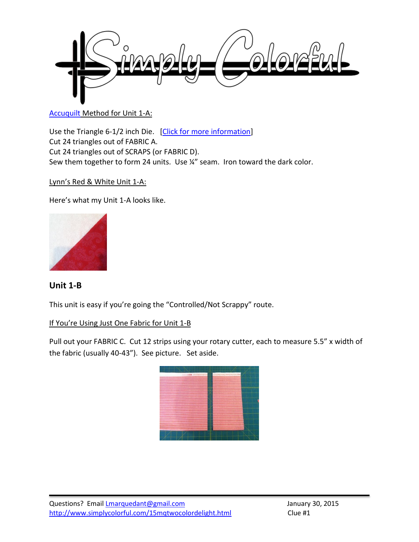

#### [Accuquilt](http://www.amazon.com/gp/product/B0021F62D6/ref=as_li_tl?ie=UTF8&camp=1789&creative=390957&creativeASIN=B0021F62D6&linkCode=as2&tag=simcolfibart-20&linkId=5AORDCJJM3EOL23X) Method for Unit 1-A:

Use the Triangle 6-1/2 inch Die. [\[Click for more information\]](http://www.amazon.com/gp/product/B0021FADBS/ref=as_li_tl?ie=UTF8&camp=1789&creative=390957&creativeASIN=B0021FADBS&linkCode=as2&tag=simcolfibart-20&linkId=HT3T77PISHHSA6N6) Cut 24 triangles out of FABRIC A. Cut 24 triangles out of SCRAPS (or FABRIC D). Sew them together to form 24 units. Use ¼" seam. Iron toward the dark color.

## Lynn's Red & White Unit 1-A:

Here's what my Unit 1-A looks like.



## **Unit 1-B**

This unit is easy if you're going the "Controlled/Not Scrappy" route.

#### If You're Using Just One Fabric for Unit 1-B

Pull out your FABRIC C. Cut 12 strips using your rotary cutter, each to measure 5.5" x width of the fabric (usually 40-43"). See picture. Set aside.